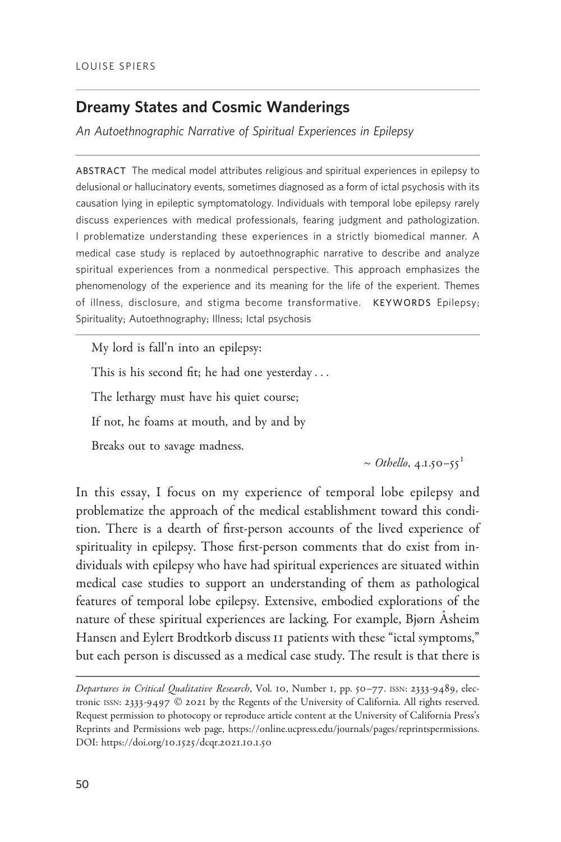# Dreamy States and Cosmic Wanderings

An Autoethnographic Narrative of Spiritual Experiences in Epilepsy

ABSTRACT The medical model attributes religious and spiritual experiences in epilepsy to delusional or hallucinatory events, sometimes diagnosed as a form of ictal psychosis with its causation lying in epileptic symptomatology. Individuals with temporal lobe epilepsy rarely discuss experiences with medical professionals, fearing judgment and pathologization. I problematize understanding these experiences in a strictly biomedical manner. A medical case study is replaced by autoethnographic narrative to describe and analyze spiritual experiences from a nonmedical perspective. This approach emphasizes the phenomenology of the experience and its meaning for the life of the experient. Themes of illness, disclosure, and stigma become transformative. KEYWORDS Epilepsy; Spirituality; Autoethnography; Illness; Ictal psychosis

My lord is fall'n into an epilepsy: This is his second fit; he had one yesterday ... The lethargy must have his quiet course; If not, he foams at mouth, and by and by Breaks out to savage madness.

~ Othello,  $4.1.50 - 55$ <sup>1</sup>

In this essay, I focus on my experience of temporal lobe epilepsy and problematize the approach of the medical establishment toward this condition. There is a dearth of first-person accounts of the lived experience of spirituality in epilepsy. Those first-person comments that do exist from individuals with epilepsy who have had spiritual experiences are situated within medical case studies to support an understanding of them as pathological features of temporal lobe epilepsy. Extensive, embodied explorations of the nature of these spiritual experiences are lacking. For example, Bjørn Asheim Hansen and Eylert Brodtkorb discuss 11 patients with these "ictal symptoms," but each person is discussed as a medical case study. The result is that there is

Departures in Critical Qualitative Research, Vol. 10, Number 1, pp. 50-77. ISSN: 2333-9489, electronic ISSN: 2333-9497 © 2021 by the Regents of the University of California. All rights reserved. Request permission to photocopy or reproduce article content at the University of California Press's Reprints and Permissions web page, [https://online.ucpress.edu/journals/pages/reprintspermissions.](https://online.ucpress.edu/journals/pages/reprintspermissions) [DOI: https://doi.org/](https://doi.org/10.1525/dcqr.2021.10.1.50)10.1525/dcqr.2021.10.1.50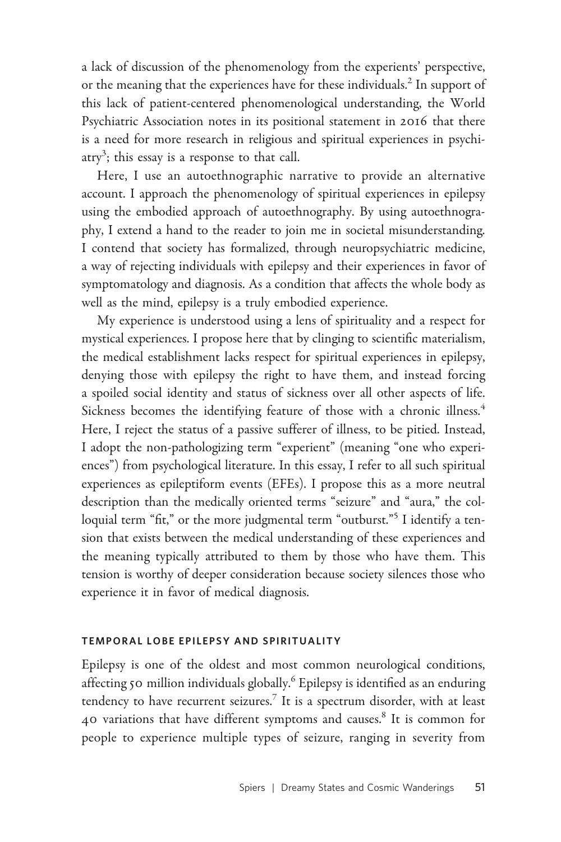a lack of discussion of the phenomenology from the experients' perspective, or the meaning that the experiences have for these individuals.<sup>2</sup> In support of this lack of patient-centered phenomenological understanding, the World Psychiatric Association notes in its positional statement in 2016 that there is a need for more research in religious and spiritual experiences in psychi- $\text{atry}^3$ ; this essay is a response to that call.

Here, I use an autoethnographic narrative to provide an alternative account. I approach the phenomenology of spiritual experiences in epilepsy using the embodied approach of autoethnography. By using autoethnography, I extend a hand to the reader to join me in societal misunderstanding. I contend that society has formalized, through neuropsychiatric medicine, a way of rejecting individuals with epilepsy and their experiences in favor of symptomatology and diagnosis. As a condition that affects the whole body as well as the mind, epilepsy is a truly embodied experience.

My experience is understood using a lens of spirituality and a respect for mystical experiences. I propose here that by clinging to scientific materialism, the medical establishment lacks respect for spiritual experiences in epilepsy, denying those with epilepsy the right to have them, and instead forcing a spoiled social identity and status of sickness over all other aspects of life. Sickness becomes the identifying feature of those with a chronic illness.<sup>4</sup> Here, I reject the status of a passive sufferer of illness, to be pitied. Instead, I adopt the non-pathologizing term "experient" (meaning "one who experiences") from psychological literature. In this essay, I refer to all such spiritual experiences as epileptiform events (EFEs). I propose this as a more neutral description than the medically oriented terms "seizure" and "aura," the colloquial term "fit," or the more judgmental term "outburst."<sup>5</sup> I identify a tension that exists between the medical understanding of these experiences and the meaning typically attributed to them by those who have them. This tension is worthy of deeper consideration because society silences those who experience it in favor of medical diagnosis.

### TEMPORAL LOBE EPILEPSY AND SPIRITUALITY

Epilepsy is one of the oldest and most common neurological conditions, affecting 50 million individuals globally.<sup>6</sup> Epilepsy is identified as an enduring tendency to have recurrent seizures.<sup>7</sup> It is a spectrum disorder, with at least 40 variations that have different symptoms and causes.<sup>8</sup> It is common for people to experience multiple types of seizure, ranging in severity from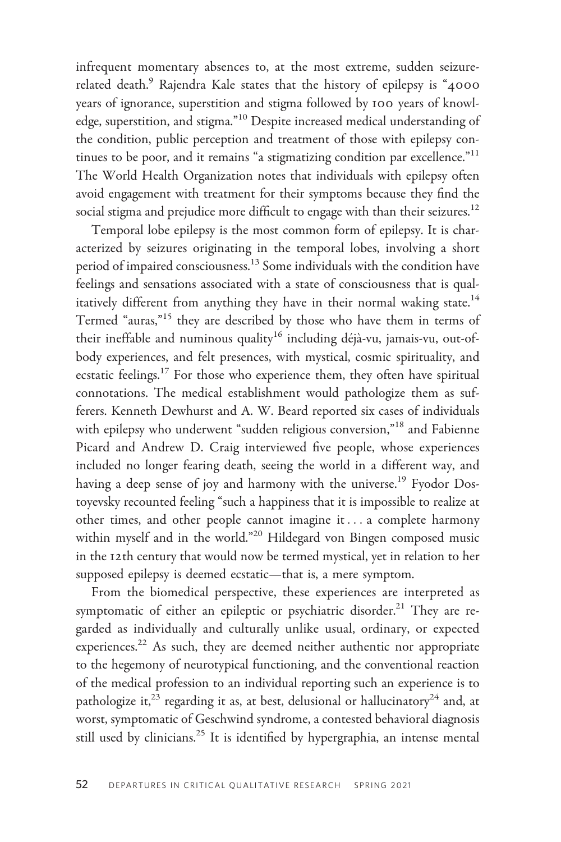infrequent momentary absences to, at the most extreme, sudden seizurerelated death.<sup>9</sup> Rajendra Kale states that the history of epilepsy is "4000 years of ignorance, superstition and stigma followed by 100 years of knowledge, superstition, and stigma."10 Despite increased medical understanding of the condition, public perception and treatment of those with epilepsy continues to be poor, and it remains "a stigmatizing condition par excellence."<sup>11</sup> The World Health Organization notes that individuals with epilepsy often avoid engagement with treatment for their symptoms because they find the social stigma and prejudice more difficult to engage with than their seizures.<sup>12</sup>

Temporal lobe epilepsy is the most common form of epilepsy. It is characterized by seizures originating in the temporal lobes, involving a short period of impaired consciousness.<sup>13</sup> Some individuals with the condition have feelings and sensations associated with a state of consciousness that is qualitatively different from anything they have in their normal waking state.<sup>14</sup> Termed "auras,"<sup>15</sup> they are described by those who have them in terms of their ineffable and numinous quality<sup>16</sup> including déjà-vu, jamais-vu, out-ofbody experiences, and felt presences, with mystical, cosmic spirituality, and ecstatic feelings.<sup>17</sup> For those who experience them, they often have spiritual connotations. The medical establishment would pathologize them as sufferers. Kenneth Dewhurst and A. W. Beard reported six cases of individuals with epilepsy who underwent "sudden religious conversion,"<sup>18</sup> and Fabienne Picard and Andrew D. Craig interviewed five people, whose experiences included no longer fearing death, seeing the world in a different way, and having a deep sense of joy and harmony with the universe.<sup>19</sup> Fyodor Dostoyevsky recounted feeling "such a happiness that it is impossible to realize at other times, and other people cannot imagine it ... a complete harmony within myself and in the world."<sup>20</sup> Hildegard von Bingen composed music in the 12th century that would now be termed mystical, yet in relation to her supposed epilepsy is deemed ecstatic—that is, a mere symptom.

From the biomedical perspective, these experiences are interpreted as symptomatic of either an epileptic or psychiatric disorder.<sup>21</sup> They are regarded as individually and culturally unlike usual, ordinary, or expected experiences.<sup>22</sup> As such, they are deemed neither authentic nor appropriate to the hegemony of neurotypical functioning, and the conventional reaction of the medical profession to an individual reporting such an experience is to pathologize it,<sup>23</sup> regarding it as, at best, delusional or hallucinatory<sup>24</sup> and, at worst, symptomatic of Geschwind syndrome, a contested behavioral diagnosis still used by clinicians.<sup>25</sup> It is identified by hypergraphia, an intense mental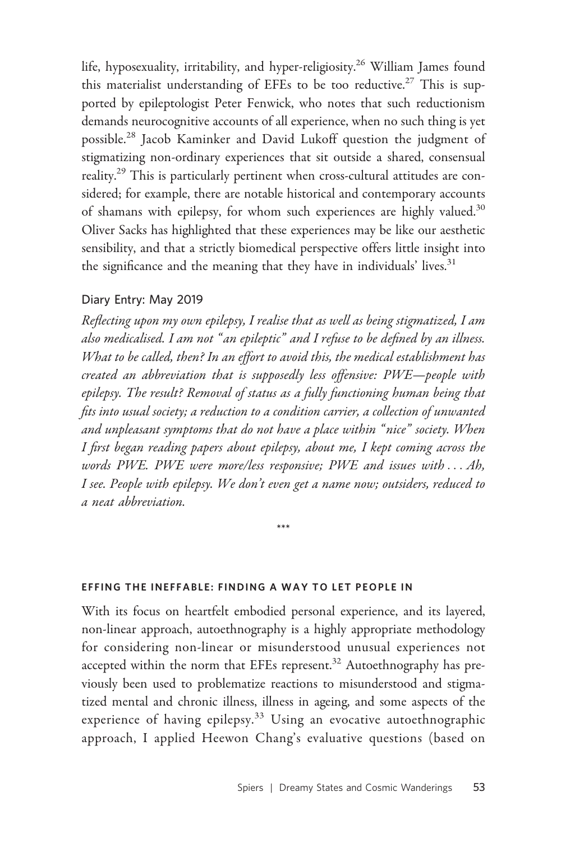life, hyposexuality, irritability, and hyper-religiosity.<sup>26</sup> William James found this materialist understanding of EFEs to be too reductive.<sup>27</sup> This is supported by epileptologist Peter Fenwick, who notes that such reductionism demands neurocognitive accounts of all experience, when no such thing is yet possible.<sup>28</sup> Jacob Kaminker and David Lukoff question the judgment of stigmatizing non-ordinary experiences that sit outside a shared, consensual reality.<sup>29</sup> This is particularly pertinent when cross-cultural attitudes are considered; for example, there are notable historical and contemporary accounts of shamans with epilepsy, for whom such experiences are highly valued.<sup>30</sup> Oliver Sacks has highlighted that these experiences may be like our aesthetic sensibility, and that a strictly biomedical perspective offers little insight into the significance and the meaning that they have in individuals' lives.<sup>31</sup>

### Diary Entry: May 2019

Reflecting upon my own epilepsy, I realise that as well as being stigmatized, I am also medicalised. I am not " an epileptic" and I refuse to be defined by an illness. What to be called, then? In an effort to avoid this, the medical establishment has created an abbreviation that is supposedly less offensive: PWE—people with epilepsy. The result? Removal of status as a fully functioning human being that fits into usual society; a reduction to a condition carrier, a collection of unwanted and unpleasant symptoms that do not have a place within " nice" society. When I first began reading papers about epilepsy, about me, I kept coming across the words PWE. PWE were more/less responsive; PWE and issues with ... Ah, I see. People with epilepsy. We don't even get a name now; outsiders, reduced to a neat abbreviation.

\*\*\*

### EFFING THE INEFFABLE: FINDING A WAY TO LET PEOPLE IN

With its focus on heartfelt embodied personal experience, and its layered, non-linear approach, autoethnography is a highly appropriate methodology for considering non-linear or misunderstood unusual experiences not accepted within the norm that EFEs represent.<sup>32</sup> Autoethnography has previously been used to problematize reactions to misunderstood and stigmatized mental and chronic illness, illness in ageing, and some aspects of the experience of having epilepsy.<sup>33</sup> Using an evocative autoethnographic approach, I applied Heewon Chang's evaluative questions (based on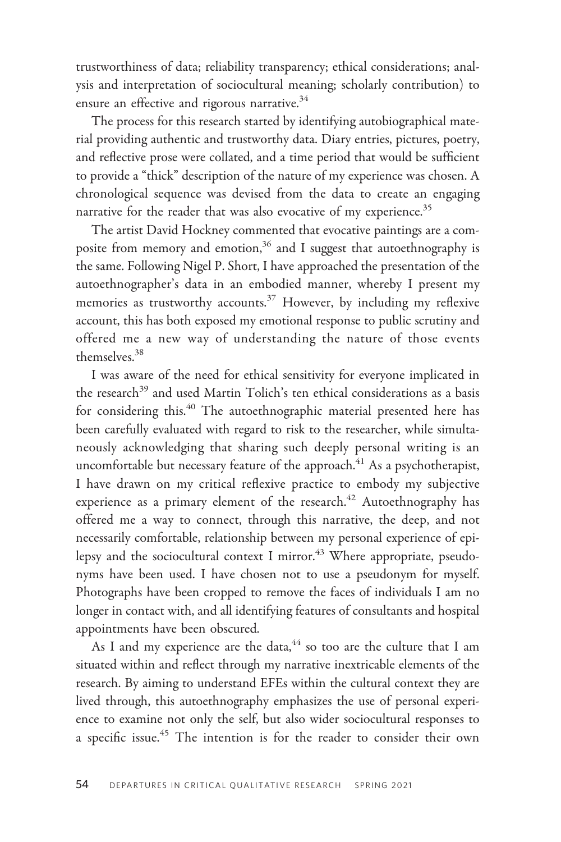trustworthiness of data; reliability transparency; ethical considerations; analysis and interpretation of sociocultural meaning; scholarly contribution) to ensure an effective and rigorous narrative.<sup>34</sup>

The process for this research started by identifying autobiographical material providing authentic and trustworthy data. Diary entries, pictures, poetry, and reflective prose were collated, and a time period that would be sufficient to provide a "thick" description of the nature of my experience was chosen. A chronological sequence was devised from the data to create an engaging narrative for the reader that was also evocative of my experience.<sup>35</sup>

The artist David Hockney commented that evocative paintings are a composite from memory and emotion,<sup>36</sup> and I suggest that autoethnography is the same. Following Nigel P. Short, I have approached the presentation of the autoethnographer's data in an embodied manner, whereby I present my memories as trustworthy accounts.<sup>37</sup> However, by including my reflexive account, this has both exposed my emotional response to public scrutiny and offered me a new way of understanding the nature of those events themselves.<sup>38</sup>

I was aware of the need for ethical sensitivity for everyone implicated in the research<sup>39</sup> and used Martin Tolich's ten ethical considerations as a basis for considering this.<sup>40</sup> The autoethnographic material presented here has been carefully evaluated with regard to risk to the researcher, while simultaneously acknowledging that sharing such deeply personal writing is an uncomfortable but necessary feature of the approach. $41$  As a psychotherapist, I have drawn on my critical reflexive practice to embody my subjective experience as a primary element of the research.<sup>42</sup> Autoethnography has offered me a way to connect, through this narrative, the deep, and not necessarily comfortable, relationship between my personal experience of epilepsy and the sociocultural context I mirror. $43$  Where appropriate, pseudonyms have been used. I have chosen not to use a pseudonym for myself. Photographs have been cropped to remove the faces of individuals I am no longer in contact with, and all identifying features of consultants and hospital appointments have been obscured.

As I and my experience are the data,  $44$  so too are the culture that I am situated within and reflect through my narrative inextricable elements of the research. By aiming to understand EFEs within the cultural context they are lived through, this autoethnography emphasizes the use of personal experience to examine not only the self, but also wider sociocultural responses to a specific issue.<sup>45</sup> The intention is for the reader to consider their own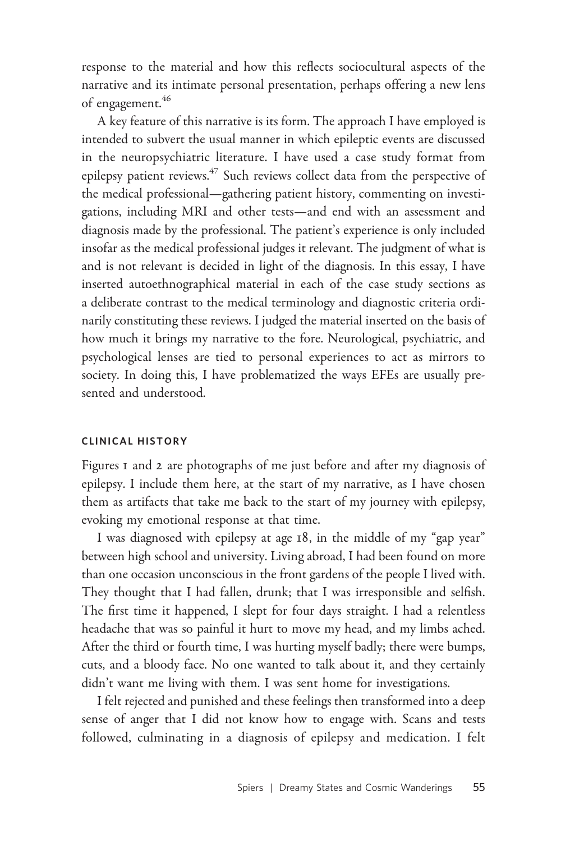response to the material and how this reflects sociocultural aspects of the narrative and its intimate personal presentation, perhaps offering a new lens of engagement.<sup>46</sup>

A key feature of this narrative is its form. The approach I have employed is intended to subvert the usual manner in which epileptic events are discussed in the neuropsychiatric literature. I have used a case study format from epilepsy patient reviews.<sup>47</sup> Such reviews collect data from the perspective of the medical professional—gathering patient history, commenting on investigations, including MRI and other tests—and end with an assessment and diagnosis made by the professional. The patient's experience is only included insofar as the medical professional judges it relevant. The judgment of what is and is not relevant is decided in light of the diagnosis. In this essay, I have inserted autoethnographical material in each of the case study sections as a deliberate contrast to the medical terminology and diagnostic criteria ordinarily constituting these reviews. I judged the material inserted on the basis of how much it brings my narrative to the fore. Neurological, psychiatric, and psychological lenses are tied to personal experiences to act as mirrors to society. In doing this, I have problematized the ways EFEs are usually presented and understood.

### CLINICAL HISTORY

Figures 1 and 2 are photographs of me just before and after my diagnosis of epilepsy. I include them here, at the start of my narrative, as I have chosen them as artifacts that take me back to the start of my journey with epilepsy, evoking my emotional response at that time.

I was diagnosed with epilepsy at age 18, in the middle of my "gap year" between high school and university. Living abroad, I had been found on more than one occasion unconscious in the front gardens of the people I lived with. They thought that I had fallen, drunk; that I was irresponsible and selfish. The first time it happened, I slept for four days straight. I had a relentless headache that was so painful it hurt to move my head, and my limbs ached. After the third or fourth time, I was hurting myself badly; there were bumps, cuts, and a bloody face. No one wanted to talk about it, and they certainly didn't want me living with them. I was sent home for investigations.

I felt rejected and punished and these feelings then transformed into a deep sense of anger that I did not know how to engage with. Scans and tests followed, culminating in a diagnosis of epilepsy and medication. I felt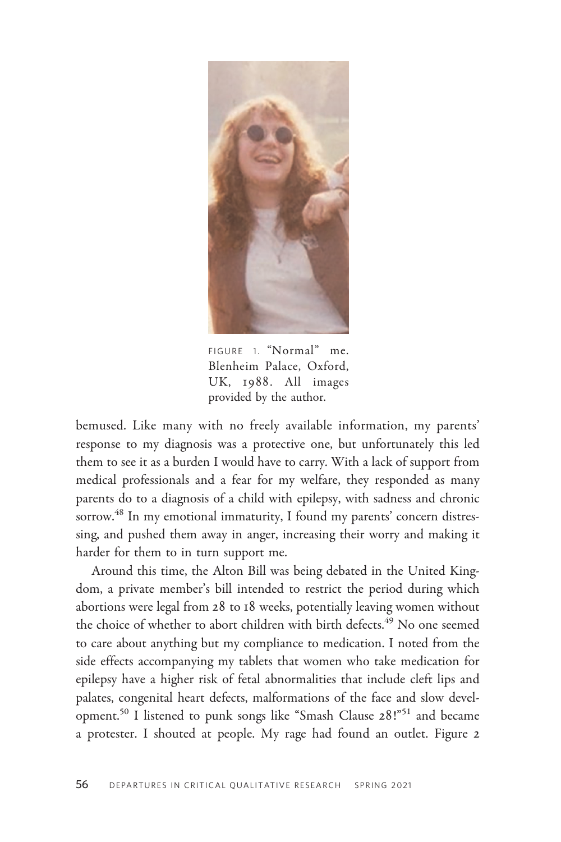

FIGURE 1. "Normal" me. Blenheim Palace, Oxford, UK, 1988. All images provided by the author.

bemused. Like many with no freely available information, my parents' response to my diagnosis was a protective one, but unfortunately this led them to see it as a burden I would have to carry. With a lack of support from medical professionals and a fear for my welfare, they responded as many parents do to a diagnosis of a child with epilepsy, with sadness and chronic sorrow.<sup>48</sup> In my emotional immaturity, I found my parents' concern distressing, and pushed them away in anger, increasing their worry and making it harder for them to in turn support me.

Around this time, the Alton Bill was being debated in the United Kingdom, a private member's bill intended to restrict the period during which abortions were legal from 28 to 18 weeks, potentially leaving women without the choice of whether to abort children with birth defects.<sup>49</sup> No one seemed to care about anything but my compliance to medication. I noted from the side effects accompanying my tablets that women who take medication for epilepsy have a higher risk of fetal abnormalities that include cleft lips and palates, congenital heart defects, malformations of the face and slow development.<sup>50</sup> I listened to punk songs like "Smash Clause 28!"<sup>51</sup> and became a protester. I shouted at people. My rage had found an outlet. Figure 2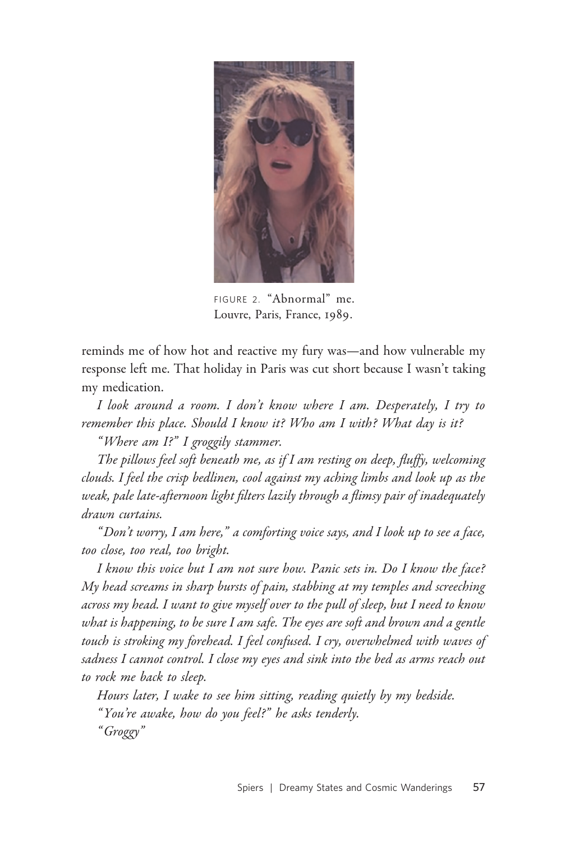

FIGURE 2. "Abnormal" me. Louvre, Paris, France, 1989.

reminds me of how hot and reactive my fury was—and how vulnerable my response left me. That holiday in Paris was cut short because I wasn't taking my medication.

I look around a room. I don't know where I am. Desperately, I try to remember this place. Should I know it? Who am I with? What day is it?

"Where am I?" I groggily stammer.

The pillows feel soft beneath me, as if I am resting on deep, fluffy, welcoming clouds. I feel the crisp bedlinen, cool against my aching limbs and look up as the weak, pale late-afternoon light filters lazily through a flimsy pair of inadequately drawn curtains.

" Don't worry, I am here," a comforting voice says, and I look up to see a face, too close, too real, too bright.

I know this voice but I am not sure how. Panic sets in. Do I know the face? My head screams in sharp bursts of pain, stabbing at my temples and screeching across my head. I want to give myself over to the pull of sleep, but I need to know what is happening, to be sure I am safe. The eyes are soft and brown and a gentle touch is stroking my forehead. I feel confused. I cry, overwhelmed with waves of sadness I cannot control. I close my eyes and sink into the bed as arms reach out to rock me back to sleep.

Hours later, I wake to see him sitting, reading quietly by my bedside. " You're awake, how do you feel?" he asks tenderly.

" Groggy"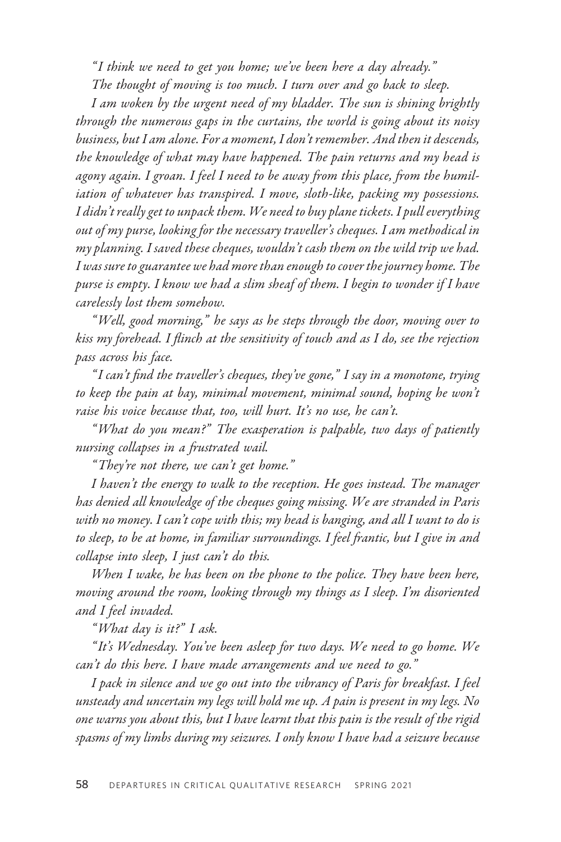" I think we need to get you home; we've been here a day already."

The thought of moving is too much. I turn over and go back to sleep.

I am woken by the urgent need of my bladder. The sun is shining brightly through the numerous gaps in the curtains, the world is going about its noisy business, but I am alone. For a moment, I don't remember. And then it descends, the knowledge of what may have happened. The pain returns and my head is agony again. I groan. I feel I need to be away from this place, from the humiliation of whatever has transpired. I move, sloth-like, packing my possessions. I didn't really get to unpack them. We need to buy plane tickets. I pull everything out of my purse, looking for the necessary traveller's cheques. I am methodical in my planning. I saved these cheques, wouldn't cash them on the wild trip we had. I was sure to guarantee we had more than enough to cover the journey home. The purse is empty. I know we had a slim sheaf of them. I begin to wonder if I have carelessly lost them somehow.

"Well, good morning," he says as he steps through the door, moving over to kiss my forehead. I flinch at the sensitivity of touch and as I do, see the rejection pass across his face.

" I can't find the traveller's cheques, they've gone," I say in a monotone, trying to keep the pain at bay, minimal movement, minimal sound, hoping he won't raise his voice because that, too, will hurt. It's no use, he can't.

"What do you mean?" The exasperation is palpable, two days of patiently nursing collapses in a frustrated wail.

" They're not there, we can't get home."

I haven't the energy to walk to the reception. He goes instead. The manager has denied all knowledge of the cheques going missing. We are stranded in Paris with no money. I can't cope with this; my head is banging, and all I want to do is to sleep, to be at home, in familiar surroundings. I feel frantic, but I give in and collapse into sleep, I just can't do this.

When I wake, he has been on the phone to the police. They have been here, moving around the room, looking through my things as I sleep. I'm disoriented and I feel invaded.

"What day is it?" I ask.

" It's Wednesday. You've been asleep for two days. We need to go home. We can't do this here. I have made arrangements and we need to go."

I pack in silence and we go out into the vibrancy of Paris for breakfast. I feel unsteady and uncertain my legs will hold me up. A pain is present in my legs. No one warns you about this, but I have learnt that this pain is the result of the rigid spasms of my limbs during my seizures. I only know I have had a seizure because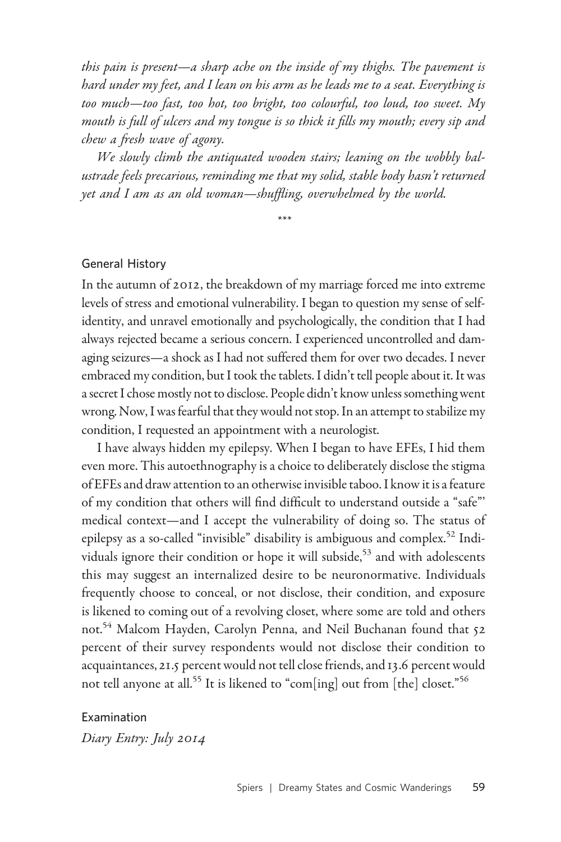this pain is present—a sharp ache on the inside of my thighs. The pavement is hard under my feet, and I lean on his arm as he leads me to a seat. Everything is too much—too fast, too hot, too bright, too colourful, too loud, too sweet. My mouth is full of ulcers and my tongue is so thick it fills my mouth; every sip and chew a fresh wave of agony.

We slowly climb the antiquated wooden stairs; leaning on the wobbly balustrade feels precarious, reminding me that my solid, stable body hasn't returned yet and I am as an old woman—shuffling, overwhelmed by the world.

\*\*\*

### General History

In the autumn of 2012, the breakdown of my marriage forced me into extreme levels of stress and emotional vulnerability. I began to question my sense of selfidentity, and unravel emotionally and psychologically, the condition that I had always rejected became a serious concern. I experienced uncontrolled and damaging seizures—a shock as I had not suffered them for over two decades. I never embraced my condition, but I took the tablets. I didn't tell people about it. It was a secret I chose mostly not to disclose. People didn't know unless something went wrong. Now, I was fearful that they would not stop. In an attempt to stabilize my condition, I requested an appointment with a neurologist.

I have always hidden my epilepsy. When I began to have EFEs, I hid them even more. This autoethnography is a choice to deliberately disclose the stigma of EFEs and draw attention to an otherwise invisible taboo. I know it is a feature of my condition that others will find difficult to understand outside a "safe"' medical context—and I accept the vulnerability of doing so. The status of epilepsy as a so-called "invisible" disability is ambiguous and complex.<sup>52</sup> Individuals ignore their condition or hope it will subside,<sup>53</sup> and with adolescents this may suggest an internalized desire to be neuronormative. Individuals frequently choose to conceal, or not disclose, their condition, and exposure is likened to coming out of a revolving closet, where some are told and others not.<sup>54</sup> Malcom Hayden, Carolyn Penna, and Neil Buchanan found that 52 percent of their survey respondents would not disclose their condition to acquaintances, 21.5 percent would not tell close friends, and 13.6 percent would not tell anyone at all.<sup>55</sup> It is likened to "com[ing] out from [the] closet."<sup>56</sup>

Examination Diary Entry: July 2014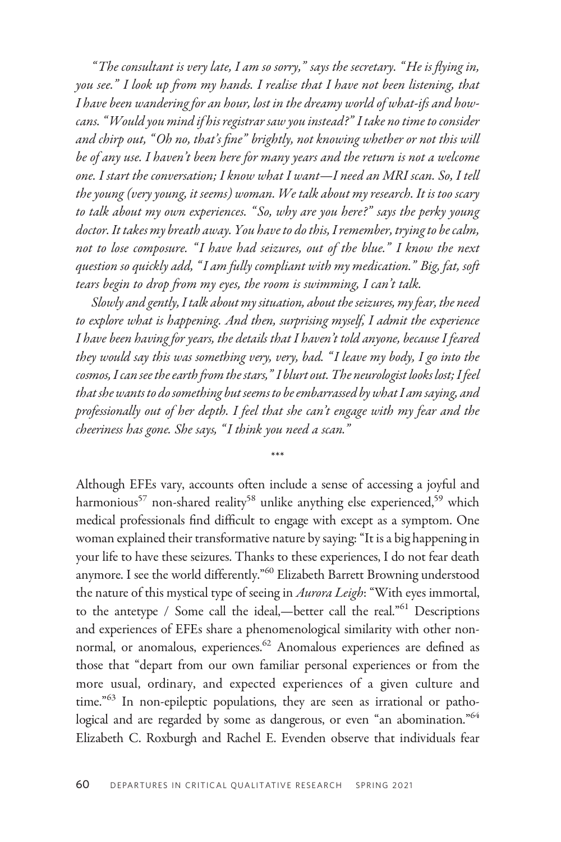"The consultant is very late, I am so sorry," says the secretary. "He is flying in, you see." I look up from my hands. I realise that I have not been listening, that I have been wandering for an hour, lost in the dreamy world of what-ifs and howcans. "Would you mind if his registrar saw you instead?" I take no time to consider and chirp out, "Oh no, that's fine" brightly, not knowing whether or not this will be of any use. I haven't been here for many years and the return is not a welcome one. I start the conversation; I know what I want—I need an MRI scan. So, I tell the young (very young, it seems) woman. We talk about my research. It is too scary to talk about my own experiences. " So, why are you here?" says the perky young doctor. It takes my breath away. You have to do this, I remember, trying to be calm, not to lose composure. "I have had seizures, out of the blue." I know the next question so quickly add, " I am fully compliant with my medication." Big, fat, soft tears begin to drop from my eyes, the room is swimming, I can't talk.

Slowly and gently, I talk about my situation, about the seizures, my fear, the need to explore what is happening. And then, surprising myself, I admit the experience I have been having for years, the details that I haven't told anyone, because I feared they would say this was something very, very, bad. " I leave my body, I go into the cosmos, I can see the earth from the stars," I blurt out. The neurologist looks lost; I feel that she wants to do something but seems to be embarrassed by what I am saying, and professionally out of her depth. I feel that she can't engage with my fear and the cheeriness has gone. She says, " I think you need a scan."

\*\*\*

Although EFEs vary, accounts often include a sense of accessing a joyful and harmonious<sup>57</sup> non-shared reality<sup>58</sup> unlike anything else experienced,<sup>59</sup> which medical professionals find difficult to engage with except as a symptom. One woman explained their transformative nature by saying: "It is a big happening in your life to have these seizures. Thanks to these experiences, I do not fear death anymore. I see the world differently."<sup>60</sup> Elizabeth Barrett Browning understood the nature of this mystical type of seeing in Aurora Leigh: "With eyes immortal, to the antetype / Some call the ideal,—better call the real."<sup>61</sup> Descriptions and experiences of EFEs share a phenomenological similarity with other nonnormal, or anomalous, experiences.<sup>62</sup> Anomalous experiences are defined as those that "depart from our own familiar personal experiences or from the more usual, ordinary, and expected experiences of a given culture and time."<sup>63</sup> In non-epileptic populations, they are seen as irrational or pathological and are regarded by some as dangerous, or even "an abomination."<sup>64</sup> Elizabeth C. Roxburgh and Rachel E. Evenden observe that individuals fear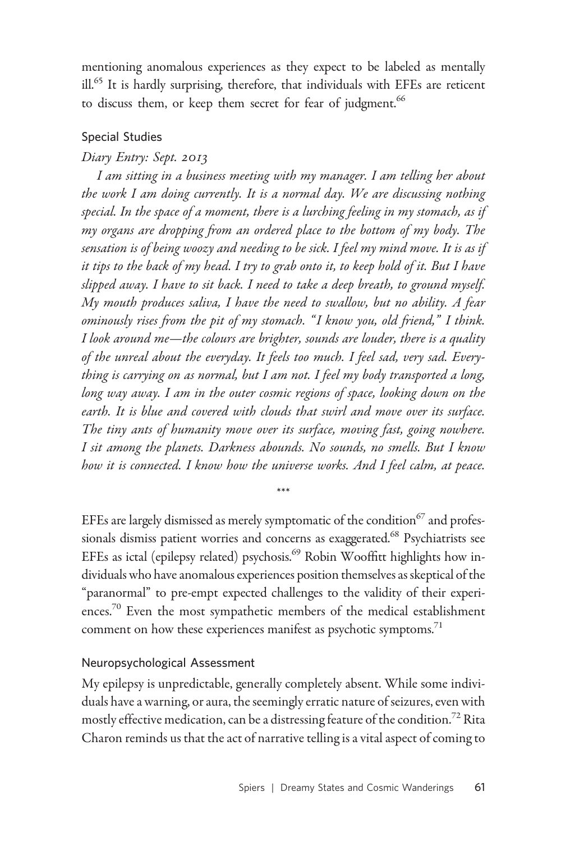mentioning anomalous experiences as they expect to be labeled as mentally ill.<sup>65</sup> It is hardly surprising, therefore, that individuals with EFEs are reticent to discuss them, or keep them secret for fear of judgment.<sup>66</sup>

# Special Studies

# Diary Entry: Sept. 2013

I am sitting in a business meeting with my manager. I am telling her about the work I am doing currently. It is a normal day. We are discussing nothing special. In the space of a moment, there is a lurching feeling in my stomach, as if my organs are dropping from an ordered place to the bottom of my body. The sensation is of being woozy and needing to be sick. I feel my mind move. It is as if it tips to the back of my head. I try to grab onto it, to keep hold of it. But I have slipped away. I have to sit back. I need to take a deep breath, to ground myself. My mouth produces saliva, I have the need to swallow, but no ability. A fear ominously rises from the pit of my stomach. " I know you, old friend," I think. I look around me—the colours are brighter, sounds are louder, there is a quality of the unreal about the everyday. It feels too much. I feel sad, very sad. Everything is carrying on as normal, but I am not. I feel my body transported a long, long way away. I am in the outer cosmic regions of space, looking down on the earth. It is blue and covered with clouds that swirl and move over its surface. The tiny ants of humanity move over its surface, moving fast, going nowhere. I sit among the planets. Darkness abounds. No sounds, no smells. But I know how it is connected. I know how the universe works. And I feel calm, at peace.

EFEs are largely dismissed as merely symptomatic of the condition<sup>67</sup> and professionals dismiss patient worries and concerns as exaggerated.<sup>68</sup> Psychiatrists see EFEs as ictal (epilepsy related) psychosis.<sup>69</sup> Robin Wooffitt highlights how individuals who have anomalous experiences position themselves as skeptical of the "paranormal" to pre-empt expected challenges to the validity of their experiences.<sup>70</sup> Even the most sympathetic members of the medical establishment comment on how these experiences manifest as psychotic symptoms.<sup>71</sup>

\*\*\*

## Neuropsychological Assessment

My epilepsy is unpredictable, generally completely absent. While some individuals have a warning, or aura, the seemingly erratic nature of seizures, even with mostly effective medication, can be a distressing feature of the condition.<sup>72</sup> Rita Charon reminds us that the act of narrative telling is a vital aspect of coming to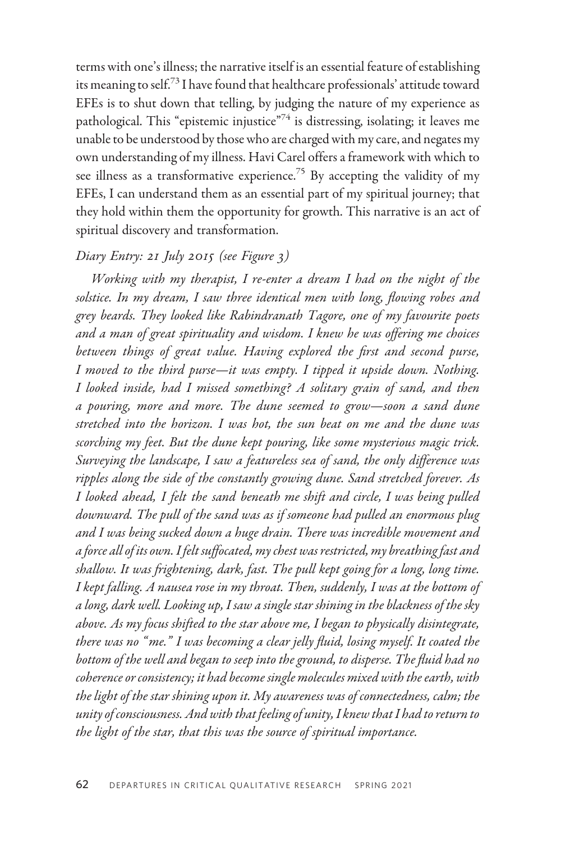terms with one's illness; the narrative itself is an essential feature of establishing its meaning to self.<sup>73</sup> I have found that healthcare professionals' attitude toward EFEs is to shut down that telling, by judging the nature of my experience as pathological. This "epistemic injustice"<sup>74</sup> is distressing, isolating; it leaves me unable to be understood by those who are charged with my care, and negates my own understanding of my illness. Havi Carel offers a framework with which to see illness as a transformative experience.<sup>75</sup> By accepting the validity of my EFEs, I can understand them as an essential part of my spiritual journey; that they hold within them the opportunity for growth. This narrative is an act of spiritual discovery and transformation.

# Diary Entry: 21 July 2015 (see Figure 3)

Working with my therapist, I re-enter a dream I had on the night of the solstice. In my dream, I saw three identical men with long, flowing robes and grey beards. They looked like Rabindranath Tagore, one of my favourite poets and a man of great spirituality and wisdom. I knew he was offering me choices between things of great value. Having explored the first and second purse, I moved to the third purse—it was empty. I tipped it upside down. Nothing. I looked inside, had I missed something? A solitary grain of sand, and then a pouring, more and more. The dune seemed to grow—soon a sand dune stretched into the horizon. I was hot, the sun beat on me and the dune was scorching my feet. But the dune kept pouring, like some mysterious magic trick. Surveying the landscape, I saw a featureless sea of sand, the only difference was ripples along the side of the constantly growing dune. Sand stretched forever. As I looked ahead, I felt the sand beneath me shift and circle, I was being pulled downward. The pull of the sand was as if someone had pulled an enormous plug and I was being sucked down a huge drain. There was incredible movement and a force all of its own. I felt suffocated, my chest was restricted, my breathing fast and shallow. It was frightening, dark, fast. The pull kept going for a long, long time. I kept falling. A nausea rose in my throat. Then, suddenly, I was at the bottom of a long, dark well. Looking up, I saw a single star shining in the blackness of the sky above. As my focus shifted to the star above me, I began to physically disintegrate, there was no " me." I was becoming a clear jelly fluid, losing myself. It coated the bottom of the well and began to seep into the ground, to disperse. The fluid had no coherence or consistency; it had become single molecules mixed with the earth, with the light of the star shining upon it. My awareness was of connectedness, calm; the unity of consciousness. And with that feeling of unity, I knew that I had to return to the light of the star, that this was the source of spiritual importance.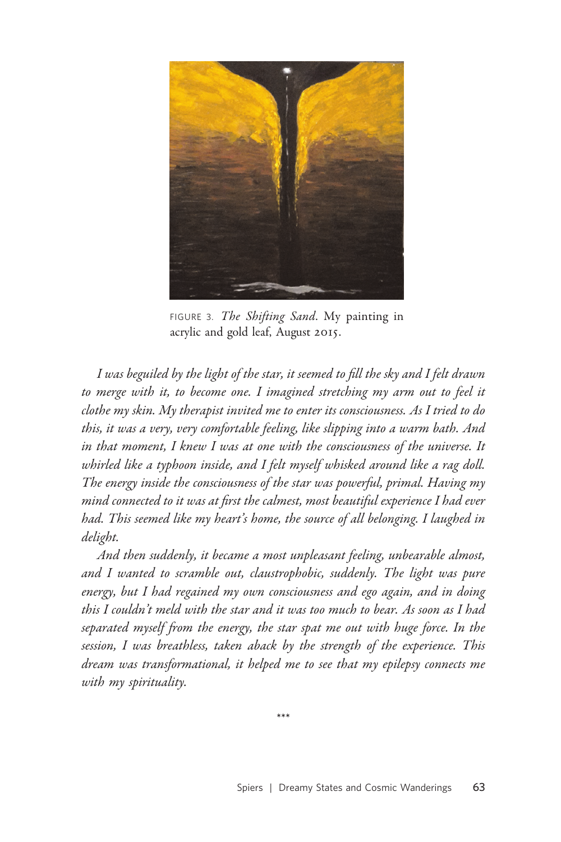

FIGURE 3. The Shifting Sand. My painting in acrylic and gold leaf, August 2015.

I was beguiled by the light of the star, it seemed to fill the sky and I felt drawn to merge with it, to become one. I imagined stretching my arm out to feel it clothe my skin. My therapist invited me to enter its consciousness. As I tried to do this, it was a very, very comfortable feeling, like slipping into a warm bath. And in that moment, I knew I was at one with the consciousness of the universe. It whirled like a typhoon inside, and I felt myself whisked around like a rag doll. The energy inside the consciousness of the star was powerful, primal. Having my mind connected to it was at first the calmest, most beautiful experience I had ever had. This seemed like my heart's home, the source of all belonging. I laughed in delight.

And then suddenly, it became a most unpleasant feeling, unbearable almost, and I wanted to scramble out, claustrophobic, suddenly. The light was pure energy, but I had regained my own consciousness and ego again, and in doing this I couldn't meld with the star and it was too much to bear. As soon as I had separated myself from the energy, the star spat me out with huge force. In the session, I was breathless, taken aback by the strength of the experience. This dream was transformational, it helped me to see that my epilepsy connects me with my spirituality.

\*\*\*

Spiers | Dreamy States and Cosmic Wanderings 63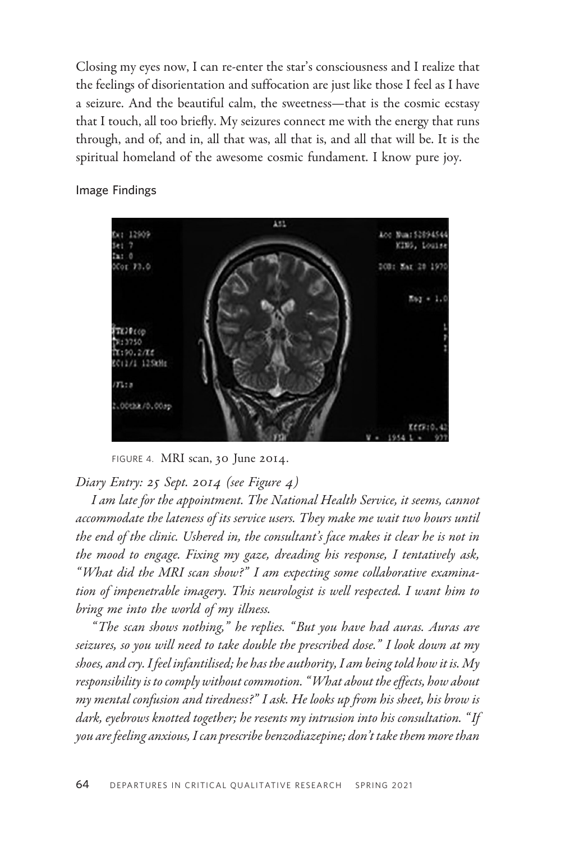Closing my eyes now, I can re-enter the star's consciousness and I realize that the feelings of disorientation and suffocation are just like those I feel as I have a seizure. And the beautiful calm, the sweetness—that is the cosmic ecstasy that I touch, all too briefly. My seizures connect me with the energy that runs through, and of, and in, all that was, all that is, and all that will be. It is the spiritual homeland of the awesome cosmic fundament. I know pure joy.



Image Findings

FIGURE 4. MRI scan, 30 June 2014.

Diary Entry: 25 Sept. 2014 (see Figure 4)

I am late for the appointment. The National Health Service, it seems, cannot accommodate the lateness of its service users. They make me wait two hours until the end of the clinic. Ushered in, the consultant's face makes it clear he is not in the mood to engage. Fixing my gaze, dreading his response, I tentatively ask, "What did the MRI scan show?" I am expecting some collaborative examination of impenetrable imagery. This neurologist is well respected. I want him to bring me into the world of my illness.

" The scan shows nothing," he replies. " But you have had auras. Auras are seizures, so you will need to take double the prescribed dose." I look down at my shoes, and cry. I feel infantilised; he has the authority, I am being told how it is. My responsibility is to comply without commotion. "What about the effects, how about my mental confusion and tiredness?" I ask. He looks up from his sheet, his brow is dark, eyebrows knotted together; he resents my intrusion into his consultation. " If you are feeling anxious, I can prescribe benzodiazepine; don't take them more than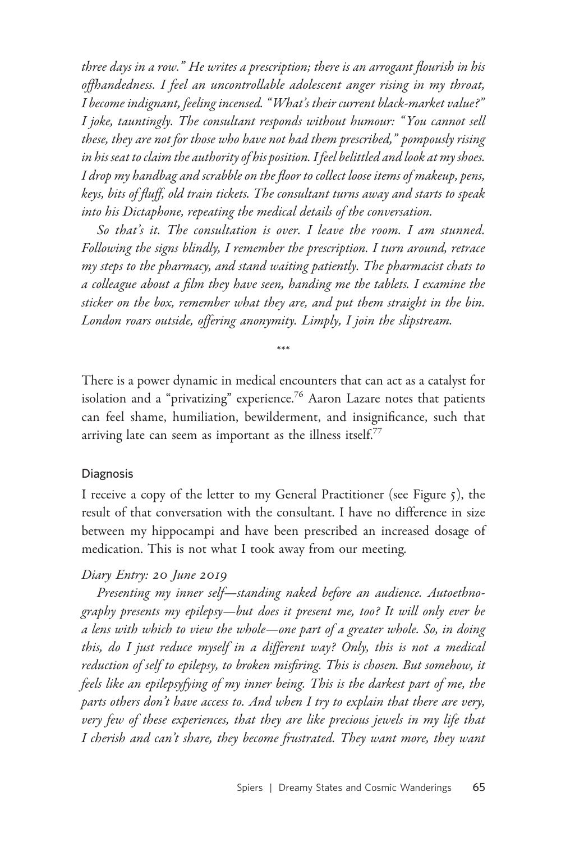three days in a row." He writes a prescription; there is an arrogant flourish in his offhandedness. I feel an uncontrollable adolescent anger rising in my throat, I become indignant, feeling incensed. "What's their current black-market value?" I joke, tauntingly. The consultant responds without humour: " You cannot sell these, they are not for those who have not had them prescribed," pompously rising in his seat to claim the authority of his position. I feel belittled and look at my shoes. I drop my handbag and scrabble on the floor to collect loose items of makeup, pens, keys, bits of fluff, old train tickets. The consultant turns away and starts to speak into his Dictaphone, repeating the medical details of the conversation.

So that's it. The consultation is over. I leave the room. I am stunned. Following the signs blindly, I remember the prescription. I turn around, retrace my steps to the pharmacy, and stand waiting patiently. The pharmacist chats to a colleague about a film they have seen, handing me the tablets. I examine the sticker on the box, remember what they are, and put them straight in the bin. London roars outside, offering anonymity. Limply, I join the slipstream.

\*\*\*

There is a power dynamic in medical encounters that can act as a catalyst for isolation and a "privatizing" experience.<sup>76</sup> Aaron Lazare notes that patients can feel shame, humiliation, bewilderment, and insignificance, such that arriving late can seem as important as the illness itself.<sup>77</sup>

### Diagnosis

I receive a copy of the letter to my General Practitioner (see Figure 5), the result of that conversation with the consultant. I have no difference in size between my hippocampi and have been prescribed an increased dosage of medication. This is not what I took away from our meeting.

### Diary Entry: 20 June 2019

Presenting my inner self—standing naked before an audience. Autoethnography presents my epilepsy—but does it present me, too? It will only ever be a lens with which to view the whole—one part of a greater whole. So, in doing this, do I just reduce myself in a different way? Only, this is not a medical reduction of self to epilepsy, to broken misfiring. This is chosen. But somehow, it feels like an epilepsyfying of my inner being. This is the darkest part of me, the parts others don't have access to. And when I try to explain that there are very, very few of these experiences, that they are like precious jewels in my life that I cherish and can't share, they become frustrated. They want more, they want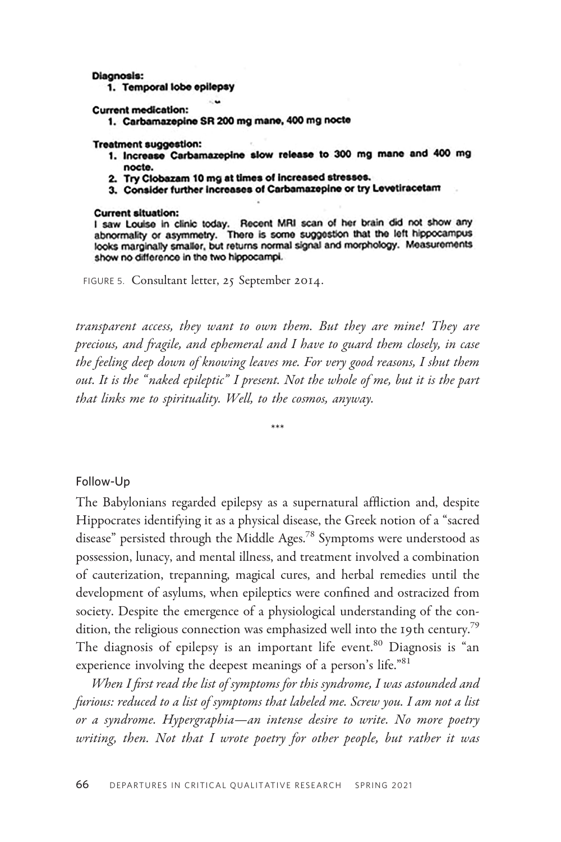#### **Diagnosis:**

1. Temporal lobe epilepsy

**Current medication:** 

1. Carbamazepine SR 200 mg mane, 400 mg nocte

∴w

#### **Treatment suggestion:**

- 1. Increase Carbamazepine slow release to 300 mg mane and 400 mg nocte.
- 2. Try Clobazam 10 mg at times of increased stresses.
- 3. Consider further increases of Carbamazepine or try Levetiracetam

#### **Current situation:**

I saw Louise in clinic today. Recent MRI scan of her brain did not show any abnormality or asymmetry. There is some suggestion that the left hippocampus looks marginally smaller, but returns normal signal and morphology. Measurements show no difference in the two hippocampi.

FIGURE 5. Consultant letter, 25 September 2014.

transparent access, they want to own them. But they are mine! They are precious, and fragile, and ephemeral and I have to guard them closely, in case the feeling deep down of knowing leaves me. For very good reasons, I shut them out. It is the " naked epileptic" I present. Not the whole of me, but it is the part that links me to spirituality. Well, to the cosmos, anyway.

\*\*\*

Follow-Up

The Babylonians regarded epilepsy as a supernatural affliction and, despite Hippocrates identifying it as a physical disease, the Greek notion of a "sacred disease" persisted through the Middle Ages.<sup>78</sup> Symptoms were understood as possession, lunacy, and mental illness, and treatment involved a combination of cauterization, trepanning, magical cures, and herbal remedies until the development of asylums, when epileptics were confined and ostracized from society. Despite the emergence of a physiological understanding of the condition, the religious connection was emphasized well into the 19th century.<sup>79</sup> The diagnosis of epilepsy is an important life event.<sup>80</sup> Diagnosis is "an experience involving the deepest meanings of a person's life."<sup>81</sup>

When I first read the list of symptoms for this syndrome, I was astounded and furious: reduced to a list of symptoms that labeled me. Screw you. I am not a list or a syndrome. Hypergraphia—an intense desire to write. No more poetry writing, then. Not that I wrote poetry for other people, but rather it was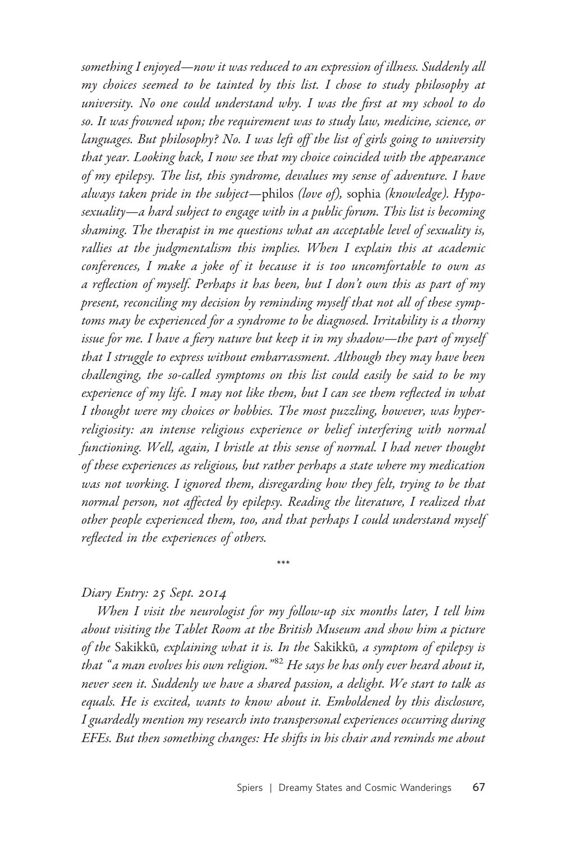something I enjoyed—now it was reduced to an expression of illness. Suddenly all my choices seemed to be tainted by this list. I chose to study philosophy at university. No one could understand why. I was the first at my school to do so. It was frowned upon; the requirement was to study law, medicine, science, or languages. But philosophy? No. I was left off the list of girls going to university that year. Looking back, I now see that my choice coincided with the appearance of my epilepsy. The list, this syndrome, devalues my sense of adventure. I have always taken pride in the subject—philos (love of), sophia (knowledge). Hyposexuality—a hard subject to engage with in a public forum. This list is becoming shaming. The therapist in me questions what an acceptable level of sexuality is, rallies at the judgmentalism this implies. When I explain this at academic conferences, I make a joke of it because it is too uncomfortable to own as a reflection of myself. Perhaps it has been, but I don't own this as part of my present, reconciling my decision by reminding myself that not all of these symptoms may be experienced for a syndrome to be diagnosed. Irritability is a thorny issue for me. I have a fiery nature but keep it in my shadow—the part of myself that I struggle to express without embarrassment. Although they may have been challenging, the so-called symptoms on this list could easily be said to be my experience of my life. I may not like them, but I can see them reflected in what I thought were my choices or hobbies. The most puzzling, however, was hyperreligiosity: an intense religious experience or belief interfering with normal functioning. Well, again, I bristle at this sense of normal. I had never thought of these experiences as religious, but rather perhaps a state where my medication was not working. I ignored them, disregarding how they felt, trying to be that normal person, not affected by epilepsy. Reading the literature, I realized that other people experienced them, too, and that perhaps I could understand myself reflected in the experiences of others.

### Diary Entry: 25 Sept. 2014

When I visit the neurologist for my follow-up six months later, I tell him about visiting the Tablet Room at the British Museum and show him a picture of the Sakikkū, explaining what it is. In the Sakikkū, a symptom of epilepsy is that "a man evolves his own religion." $^{82}$  He says he has only ever heard about it, never seen it. Suddenly we have a shared passion, a delight. We start to talk as equals. He is excited, wants to know about it. Emboldened by this disclosure, I guardedly mention my research into transpersonal experiences occurring during EFEs. But then something changes: He shifts in his chair and reminds me about

\*\*\*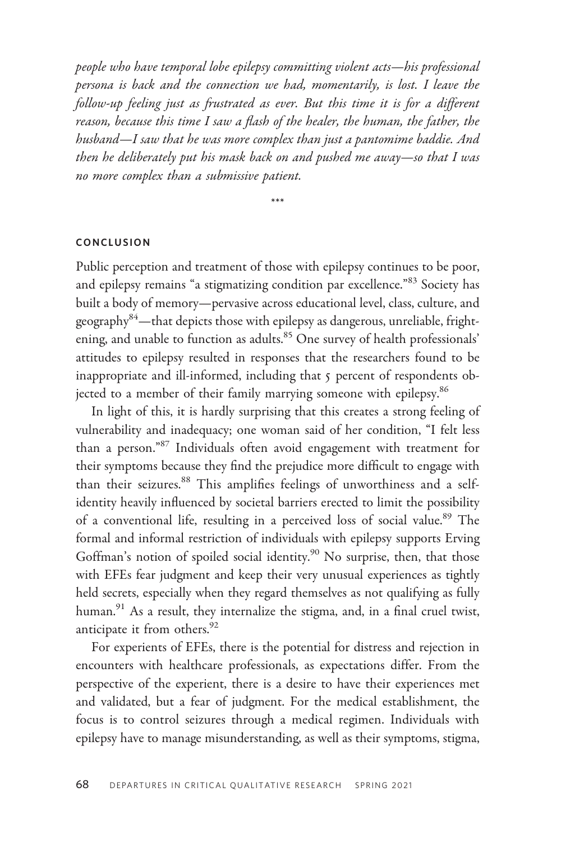people who have temporal lobe epilepsy committing violent acts—his professional persona is back and the connection we had, momentarily, is lost. I leave the follow-up feeling just as frustrated as ever. But this time it is for a different reason, because this time I saw a flash of the healer, the human, the father, the husband—I saw that he was more complex than just a pantomime baddie. And then he deliberately put his mask back on and pushed me away—so that I was no more complex than a submissive patient.

\*\*\*

### CONCLUSION

Public perception and treatment of those with epilepsy continues to be poor, and epilepsy remains "a stigmatizing condition par excellence."<sup>83</sup> Society has built a body of memory—pervasive across educational level, class, culture, and geography<sup>84</sup>—that depicts those with epilepsy as dangerous, unreliable, frightening, and unable to function as adults.<sup>85</sup> One survey of health professionals' attitudes to epilepsy resulted in responses that the researchers found to be inappropriate and ill-informed, including that 5 percent of respondents objected to a member of their family marrying someone with epilepsy.<sup>86</sup>

In light of this, it is hardly surprising that this creates a strong feeling of vulnerability and inadequacy; one woman said of her condition, "I felt less than a person."87 Individuals often avoid engagement with treatment for their symptoms because they find the prejudice more difficult to engage with than their seizures.<sup>88</sup> This amplifies feelings of unworthiness and a selfidentity heavily influenced by societal barriers erected to limit the possibility of a conventional life, resulting in a perceived loss of social value.<sup>89</sup> The formal and informal restriction of individuals with epilepsy supports Erving Goffman's notion of spoiled social identity.<sup>90</sup> No surprise, then, that those with EFEs fear judgment and keep their very unusual experiences as tightly held secrets, especially when they regard themselves as not qualifying as fully human.<sup>91</sup> As a result, they internalize the stigma, and, in a final cruel twist, anticipate it from others.<sup>92</sup>

For experients of EFEs, there is the potential for distress and rejection in encounters with healthcare professionals, as expectations differ. From the perspective of the experient, there is a desire to have their experiences met and validated, but a fear of judgment. For the medical establishment, the focus is to control seizures through a medical regimen. Individuals with epilepsy have to manage misunderstanding, as well as their symptoms, stigma,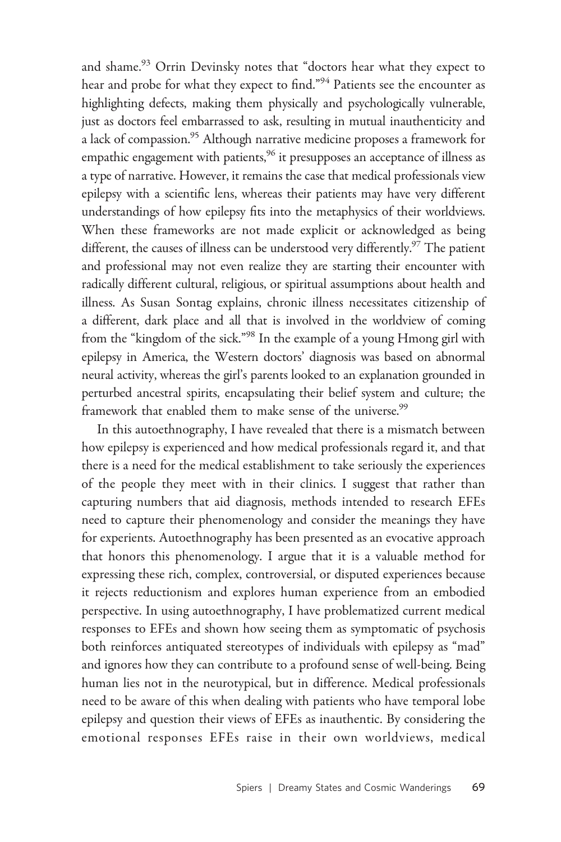and shame.<sup>93</sup> Orrin Devinsky notes that "doctors hear what they expect to hear and probe for what they expect to find."<sup>94</sup> Patients see the encounter as highlighting defects, making them physically and psychologically vulnerable, just as doctors feel embarrassed to ask, resulting in mutual inauthenticity and a lack of compassion.<sup>95</sup> Although narrative medicine proposes a framework for empathic engagement with patients,<sup>96</sup> it presupposes an acceptance of illness as a type of narrative. However, it remains the case that medical professionals view epilepsy with a scientific lens, whereas their patients may have very different understandings of how epilepsy fits into the metaphysics of their worldviews. When these frameworks are not made explicit or acknowledged as being different, the causes of illness can be understood very differently.<sup>97</sup> The patient and professional may not even realize they are starting their encounter with radically different cultural, religious, or spiritual assumptions about health and illness. As Susan Sontag explains, chronic illness necessitates citizenship of a different, dark place and all that is involved in the worldview of coming from the "kingdom of the sick."98 In the example of a young Hmong girl with epilepsy in America, the Western doctors' diagnosis was based on abnormal neural activity, whereas the girl's parents looked to an explanation grounded in perturbed ancestral spirits, encapsulating their belief system and culture; the framework that enabled them to make sense of the universe.<sup>99</sup>

In this autoethnography, I have revealed that there is a mismatch between how epilepsy is experienced and how medical professionals regard it, and that there is a need for the medical establishment to take seriously the experiences of the people they meet with in their clinics. I suggest that rather than capturing numbers that aid diagnosis, methods intended to research EFEs need to capture their phenomenology and consider the meanings they have for experients. Autoethnography has been presented as an evocative approach that honors this phenomenology. I argue that it is a valuable method for expressing these rich, complex, controversial, or disputed experiences because it rejects reductionism and explores human experience from an embodied perspective. In using autoethnography, I have problematized current medical responses to EFEs and shown how seeing them as symptomatic of psychosis both reinforces antiquated stereotypes of individuals with epilepsy as "mad" and ignores how they can contribute to a profound sense of well-being. Being human lies not in the neurotypical, but in difference. Medical professionals need to be aware of this when dealing with patients who have temporal lobe epilepsy and question their views of EFEs as inauthentic. By considering the emotional responses EFEs raise in their own worldviews, medical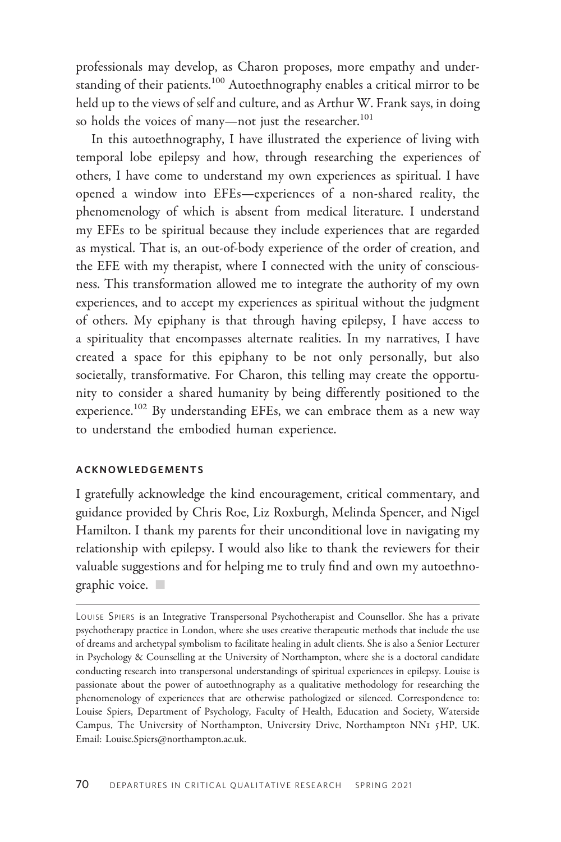professionals may develop, as Charon proposes, more empathy and understanding of their patients.<sup>100</sup> Autoethnography enables a critical mirror to be held up to the views of self and culture, and as Arthur W. Frank says, in doing so holds the voices of many-not just the researcher.<sup>101</sup>

In this autoethnography, I have illustrated the experience of living with temporal lobe epilepsy and how, through researching the experiences of others, I have come to understand my own experiences as spiritual. I have opened a window into EFEs—experiences of a non-shared reality, the phenomenology of which is absent from medical literature. I understand my EFEs to be spiritual because they include experiences that are regarded as mystical. That is, an out-of-body experience of the order of creation, and the EFE with my therapist, where I connected with the unity of consciousness. This transformation allowed me to integrate the authority of my own experiences, and to accept my experiences as spiritual without the judgment of others. My epiphany is that through having epilepsy, I have access to a spirituality that encompasses alternate realities. In my narratives, I have created a space for this epiphany to be not only personally, but also societally, transformative. For Charon, this telling may create the opportunity to consider a shared humanity by being differently positioned to the experience.<sup>102</sup> By understanding EFEs, we can embrace them as a new way to understand the embodied human experience.

### ACKNOWLEDGEMENTS

I gratefully acknowledge the kind encouragement, critical commentary, and guidance provided by Chris Roe, Liz Roxburgh, Melinda Spencer, and Nigel Hamilton. I thank my parents for their unconditional love in navigating my relationship with epilepsy. I would also like to thank the reviewers for their valuable suggestions and for helping me to truly find and own my autoethno $graphic$  voice.

LOUISE SPIERS is an Integrative Transpersonal Psychotherapist and Counsellor. She has a private psychotherapy practice in London, where she uses creative therapeutic methods that include the use of dreams and archetypal symbolism to facilitate healing in adult clients. She is also a Senior Lecturer in Psychology & Counselling at the University of Northampton, where she is a doctoral candidate conducting research into transpersonal understandings of spiritual experiences in epilepsy. Louise is passionate about the power of autoethnography as a qualitative methodology for researching the phenomenology of experiences that are otherwise pathologized or silenced. Correspondence to: Louise Spiers, Department of Psychology, Faculty of Health, Education and Society, Waterside Campus, The University of Northampton, University Drive, Northampton NN1 5HP, UK. Email: [Louise.Spiers@northampton.ac.uk](https://medcraveonline.com/JPCPY/JPCPY-08-00467.pdf).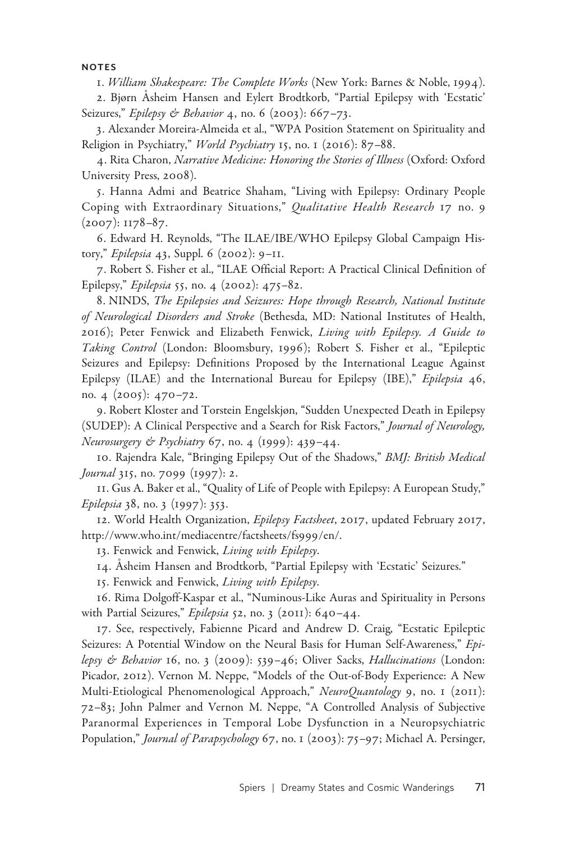#### NOTES

1. William Shakespeare: The Complete Works (New York: Barnes & Noble, 1994).

2. Bjørn Åsheim Hansen and Eylert Brodtkorb, "Partial Epilepsy with 'Ecstatic' Seizures," Epilepsy & Behavior 4, no. 6 (2003): 667-73.

3. Alexander Moreira-Almeida et al., "WPA Position Statement on Spirituality and Religion in Psychiatry," World Psychiatry 15, no. 1 (2016): 87-88.

4. Rita Charon, Narrative Medicine: Honoring the Stories of Illness (Oxford: Oxford University Press, 2008).

5. Hanna Admi and Beatrice Shaham, "Living with Epilepsy: Ordinary People Coping with Extraordinary Situations," Qualitative Health Research 17 no. 9 (2007): 1178–87.

6. Edward H. Reynolds, "The ILAE/IBE/WHO Epilepsy Global Campaign History," Epilepsia 43, Suppl. 6 (2002): 9–11.

7. Robert S. Fisher et al., "ILAE Official Report: A Practical Clinical Definition of Epilepsy," Epilepsia 55, no. 4 (2002): 475–82.

8. NINDS, The Epilepsies and Seizures: Hope through Research, National Institute of Neurological Disorders and Stroke (Bethesda, MD: National Institutes of Health, 2016); Peter Fenwick and Elizabeth Fenwick, Living with Epilepsy. A Guide to Taking Control (London: Bloomsbury, 1996); Robert S. Fisher et al., "Epileptic Seizures and Epilepsy: Definitions Proposed by the International League Against Epilepsy (ILAE) and the International Bureau for Epilepsy (IBE)," Epilepsia 46, no. 4 (2005): 470–72.

9. Robert Kloster and Torstein Engelskjøn, "Sudden Unexpected Death in Epilepsy (SUDEP): A Clinical Perspective and a Search for Risk Factors," Journal of Neurology, Neurosurgery & Psychiatry 67, no. 4 (1999): 439-44.

10. Rajendra Kale, "Bringing Epilepsy Out of the Shadows," BMJ: British Medical Journal 315, no. 7099 (1997): 2.

11. Gus A. Baker et al., "Quality of Life of People with Epilepsy: A European Study," Epilepsia 38, no. 3 (1997): 353.

12. World Health Organization, Epilepsy Factsheet, 2017, updated February 2017, [http://www.who.int/mediacentre/factsheets/fs](http://www.who.int/mediacentre/factsheets/fs999/en/)999/en/.

13. Fenwick and Fenwick, Living with Epilepsy.

14. Asheim Hansen and Brodtkorb, "Partial Epilepsy with 'Ecstatic' Seizures."

15. Fenwick and Fenwick, Living with Epilepsy.

16. Rima Dolgoff-Kaspar et al., "Numinous-Like Auras and Spirituality in Persons with Partial Seizures," Epilepsia 52, no. 3 (2011):  $640 - 44$ .

17. See, respectively, Fabienne Picard and Andrew D. Craig, "Ecstatic Epileptic Seizures: A Potential Window on the Neural Basis for Human Self-Awareness," Epilepsy & Behavior 16, no. 3 (2009): 539-46; Oliver Sacks, Hallucinations (London: Picador, 2012). Vernon M. Neppe, "Models of the Out-of-Body Experience: A New Multi-Etiological Phenomenological Approach," NeuroQuantology 9, no. 1 (2011): 72–83; John Palmer and Vernon M. Neppe, "A Controlled Analysis of Subjective Paranormal Experiences in Temporal Lobe Dysfunction in a Neuropsychiatric Population," Journal of Parapsychology 67, no. 1 (2003): 75-97; Michael A. Persinger,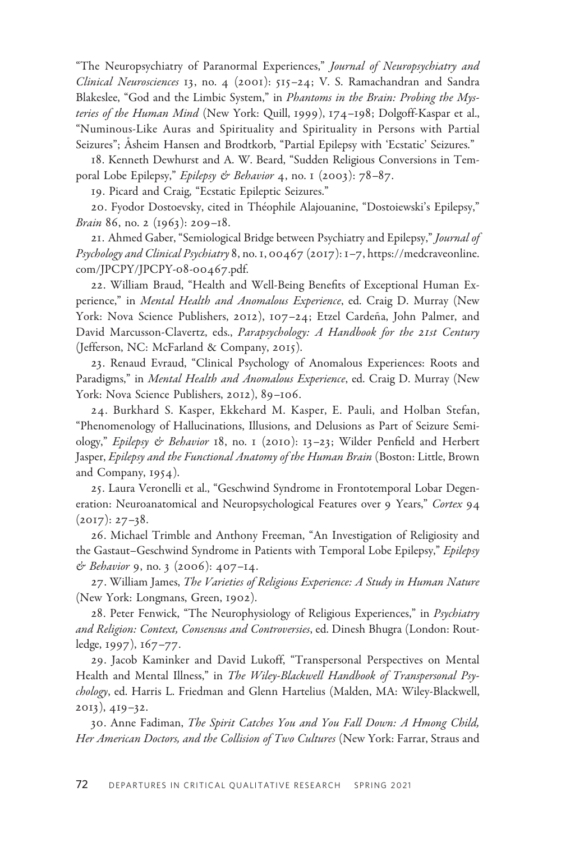"The Neuropsychiatry of Paranormal Experiences," Journal of Neuropsychiatry and Clinical Neurosciences 13, no. 4 (2001): 515–24; V. S. Ramachandran and Sandra Blakeslee, "God and the Limbic System," in Phantoms in the Brain: Probing the Mysteries of the Human Mind (New York: Quill, 1999), 174-198; Dolgoff-Kaspar et al., "Numinous-Like Auras and Spirituality and Spirituality in Persons with Partial Seizures"; Asheim Hansen and Brodtkorb, "Partial Epilepsy with 'Ecstatic' Seizures."

18. Kenneth Dewhurst and A. W. Beard, "Sudden Religious Conversions in Temporal Lobe Epilepsy," Epilepsy & Behavior 4, no. 1 (2003): 78-87.

19. Picard and Craig, "Ecstatic Epileptic Seizures."

20. Fyodor Dostoevsky, cited in Théophile Alajouanine, "Dostoiewski's Epilepsy," Brain 86, no. 2 (1963): 209–18.

21. Ahmed Gaber, "Semiological Bridge between Psychiatry and Epilepsy," Journal of Psychology and Clinical Psychiatry 8, no. 1, 00467 (2017): 1-7, [https://medcraveonline.](https://medcraveonline.com/JPCPY/JPCPY-08-00467.pdf) [com/JPCPY/JPCPY-](https://medcraveonline.com/JPCPY/JPCPY-08-00467.pdf)08-00467.pdf.

22. William Braud, "Health and Well-Being Benefits of Exceptional Human Experience," in Mental Health and Anomalous Experience, ed. Craig D. Murray (New York: Nova Science Publishers, 2012), 107-24; Etzel Cardeña, John Palmer, and David Marcusson-Clavertz, eds., Parapsychology: A Handbook for the 21st Century (Jefferson, NC: McFarland & Company, 2015).

23. Renaud Evraud, "Clinical Psychology of Anomalous Experiences: Roots and Paradigms," in Mental Health and Anomalous Experience, ed. Craig D. Murray (New York: Nova Science Publishers, 2012), 89–106.

24. Burkhard S. Kasper, Ekkehard M. Kasper, E. Pauli, and Holban Stefan, "Phenomenology of Hallucinations, Illusions, and Delusions as Part of Seizure Semiology," Epilepsy & Behavior 18, no. 1 (2010): 13–23; Wilder Penfield and Herbert Jasper, Epilepsy and the Functional Anatomy of the Human Brain (Boston: Little, Brown and Company, 1954).

25. Laura Veronelli et al., "Geschwind Syndrome in Frontotemporal Lobar Degeneration: Neuroanatomical and Neuropsychological Features over 9 Years," Cortex 94  $(2017): 27-38.$ 

26. Michael Trimble and Anthony Freeman, "An Investigation of Religiosity and the Gastaut-Geschwind Syndrome in Patients with Temporal Lobe Epilepsy," Epilepsy & Behavior 9, no. 3 (2006): 407–14.

27. William James, The Varieties of Religious Experience: A Study in Human Nature (New York: Longmans, Green, 1902).

28. Peter Fenwick, "The Neurophysiology of Religious Experiences," in Psychiatry and Religion: Context, Consensus and Controversies, ed. Dinesh Bhugra (London: Routledge, 1997), 167–77.

29. Jacob Kaminker and David Lukoff, "Transpersonal Perspectives on Mental Health and Mental Illness," in The Wiley-Blackwell Handbook of Transpersonal Psychology, ed. Harris L. Friedman and Glenn Hartelius (Malden, MA: Wiley-Blackwell, 2013), 419–32.

30. Anne Fadiman, The Spirit Catches You and You Fall Down: A Hmong Child, Her American Doctors, and the Collision of Two Cultures (New York: Farrar, Straus and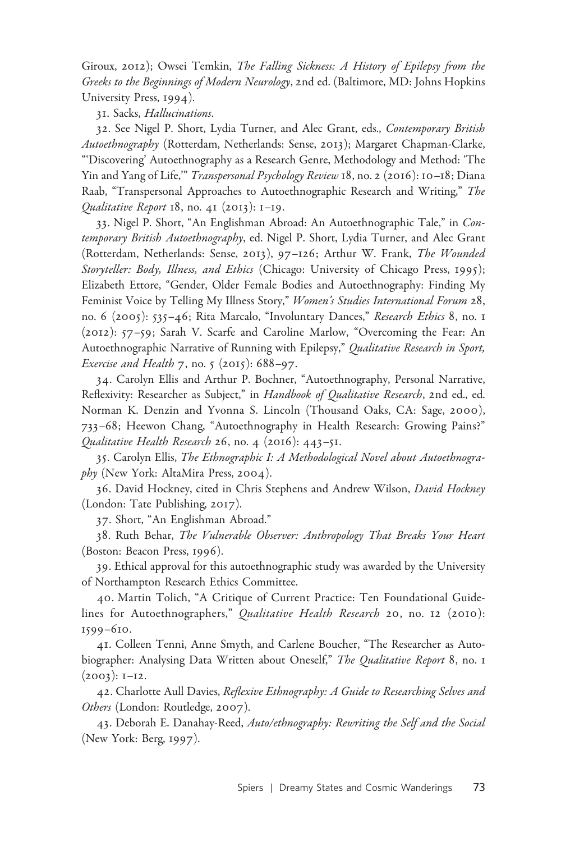Giroux, 2012); Owsei Temkin, The Falling Sickness: A History of Epilepsy from the Greeks to the Beginnings of Modern Neurology, 2nd ed. (Baltimore, MD: Johns Hopkins University Press, 1994).

31. Sacks, Hallucinations.

32. See Nigel P. Short, Lydia Turner, and Alec Grant, eds., Contemporary British Autoethnography (Rotterdam, Netherlands: Sense, 2013); Margaret Chapman-Clarke, "'Discovering' Autoethnography as a Research Genre, Methodology and Method: 'The Yin and Yang of Life," Transpersonal Psychology Review 18, no. 2 (2016): 10-18; Diana Raab, "Transpersonal Approaches to Autoethnographic Research and Writing," The Qualitative Report  $18$ , no. 41 (2013): 1-19.

33. Nigel P. Short, "An Englishman Abroad: An Autoethnographic Tale," in Contemporary British Autoethnography, ed. Nigel P. Short, Lydia Turner, and Alec Grant (Rotterdam, Netherlands: Sense, 2013), 97–126; Arthur W. Frank, The Wounded Storyteller: Body, Illness, and Ethics (Chicago: University of Chicago Press, 1995); Elizabeth Ettore, "Gender, Older Female Bodies and Autoethnography: Finding My Feminist Voice by Telling My Illness Story," Women's Studies International Forum 28, no. 6 (2005): 535–46; Rita Marcalo, "Involuntary Dances," Research Ethics 8, no. 1 (2012): 57–59; Sarah V. Scarfe and Caroline Marlow, "Overcoming the Fear: An Autoethnographic Narrative of Running with Epilepsy," Qualitative Research in Sport, Exercise and Health 7, no. 5 (2015): 688–97.

34. Carolyn Ellis and Arthur P. Bochner, "Autoethnography, Personal Narrative, Reflexivity: Researcher as Subject," in Handbook of Qualitative Research, 2nd ed., ed. Norman K. Denzin and Yvonna S. Lincoln (Thousand Oaks, CA: Sage, 2000), 733–68; Heewon Chang, "Autoethnography in Health Research: Growing Pains?" Qualitative Health Research 26, no. 4 (2016): 443–51.

35. Carolyn Ellis, The Ethnographic I: A Methodological Novel about Autoethnography (New York: AltaMira Press, 2004).

36. David Hockney, cited in Chris Stephens and Andrew Wilson, David Hockney (London: Tate Publishing, 2017).

37. Short, "An Englishman Abroad."

38. Ruth Behar, The Vulnerable Observer: Anthropology That Breaks Your Heart (Boston: Beacon Press, 1996).

39. Ethical approval for this autoethnographic study was awarded by the University of Northampton Research Ethics Committee.

40. Martin Tolich, "A Critique of Current Practice: Ten Foundational Guidelines for Autoethnographers," Qualitative Health Research 20, no. 12 (2010): 1599–610.

41. Colleen Tenni, Anne Smyth, and Carlene Boucher, "The Researcher as Autobiographer: Analysing Data Written about Oneself," The Qualitative Report 8, no. 1  $(2003): I-I2.$ 

42. Charlotte Aull Davies, Reflexive Ethnography: A Guide to Researching Selves and Others (London: Routledge, 2007).

43. Deborah E. Danahay-Reed, Auto/ethnography: Rewriting the Self and the Social (New York: Berg, 1997).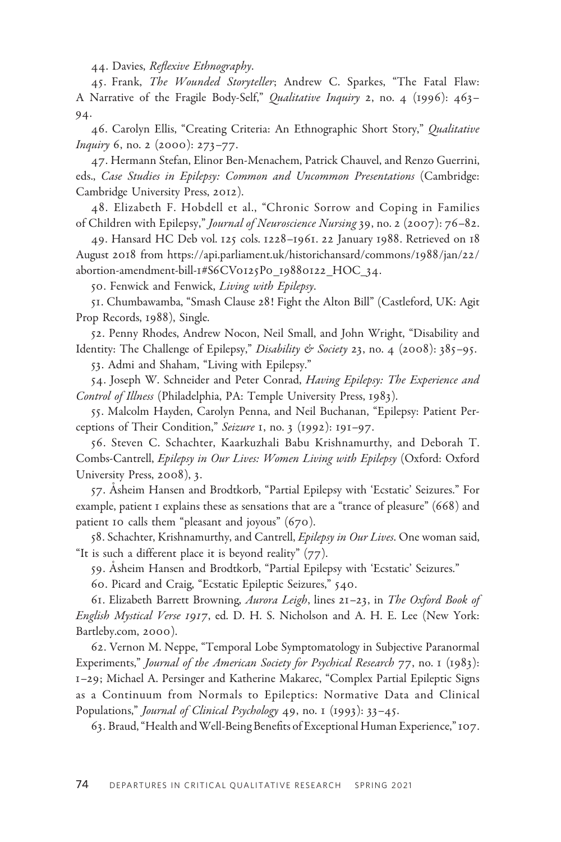44. Davies, Reflexive Ethnography.

45. Frank, The Wounded Storyteller; Andrew C. Sparkes, "The Fatal Flaw: A Narrative of the Fragile Body-Self," Qualitative Inquiry 2, no. 4 (1996): 463-94.

46. Carolyn Ellis, "Creating Criteria: An Ethnographic Short Story," Qualitative Inquiry 6, no. 2 (2000): 273–77.

47. Hermann Stefan, Elinor Ben-Menachem, Patrick Chauvel, and Renzo Guerrini, eds., Case Studies in Epilepsy: Common and Uncommon Presentations (Cambridge: Cambridge University Press, 2012).

48 . Elizabeth F. Hobdell et al., "Chronic Sorrow and Coping in Families of Children with Epilepsy," Journal of Neuroscience Nursing 39, no. 2 (2007): 76–82.

49. Hansard HC Deb vol. 125 cols. 1228–1961. 22 January 1988. Retrieved on 18 August 2018 from [https://api.parliament.uk/historichansard/commons/](https://api.parliament.uk/historichansard/commons/1988/jan/22/ abortion-amendment-bill-1#S6CV0125P0_19880122_HOC_34)1988/jan/22/ [abortion-amendment-bill-](https://api.parliament.uk/historichansard/commons/1988/jan/22/ abortion-amendment-bill-1#S6CV0125P0_19880122_HOC_34)1#S6CV0125P0\_19880122\_HOC\_34.

50. Fenwick and Fenwick, Living with Epilepsy.

51. Chumbawamba, "Smash Clause 28! Fight the Alton Bill" (Castleford, UK: Agit Prop Records, 1988), Single.

52. Penny Rhodes, Andrew Nocon, Neil Small, and John Wright, "Disability and Identity: The Challenge of Epilepsy," Disability & Society 23, no. 4 (2008):  $385-95$ .

53. Admi and Shaham, "Living with Epilepsy."

54. Joseph W. Schneider and Peter Conrad, Having Epilepsy: The Experience and Control of Illness (Philadelphia, PA: Temple University Press, 1983).

55. Malcolm Hayden, Carolyn Penna, and Neil Buchanan, "Epilepsy: Patient Perceptions of Their Condition," Seizure 1, no. 3 (1992): 191–97.

56. Steven C. Schachter, Kaarkuzhali Babu Krishnamurthy, and Deborah T. Combs-Cantrell, Epilepsy in Our Lives: Women Living with Epilepsy (Oxford: Oxford University Press, 2008), 3.

57. Asheim Hansen and Brodtkorb, "Partial Epilepsy with 'Ecstatic' Seizures." For example, patient 1 explains these as sensations that are a "trance of pleasure" (668) and patient 10 calls them "pleasant and joyous" (670).

58. Schachter, Krishnamurthy, and Cantrell, Epilepsy in Our Lives. One woman said, "It is such a different place it is beyond reality"  $(77)$ .

59. Åsheim Hansen and Brodtkorb, "Partial Epilepsy with 'Ecstatic' Seizures."

60. Picard and Craig, "Ecstatic Epileptic Seizures," 540.

61. Elizabeth Barrett Browning, Aurora Leigh, lines 21-23, in The Oxford Book of English Mystical Verse 1917, ed. D. H. S. Nicholson and A. H. E. Lee (New York: <Bartleby.com>, 2000).

62. Vernon M. Neppe, "Temporal Lobe Symptomatology in Subjective Paranormal Experiments," Journal of the American Society for Psychical Research 77, no. 1 (1983): 1–29; Michael A. Persinger and Katherine Makarec, "Complex Partial Epileptic Signs as a Continuum from Normals to Epileptics: Normative Data and Clinical Populations," *Journal of Clinical Psychology* 49, no. 1 (1993): 33-45.

63. Braud, "Health andWell-Being Benefits of Exceptional Human Experience,"107.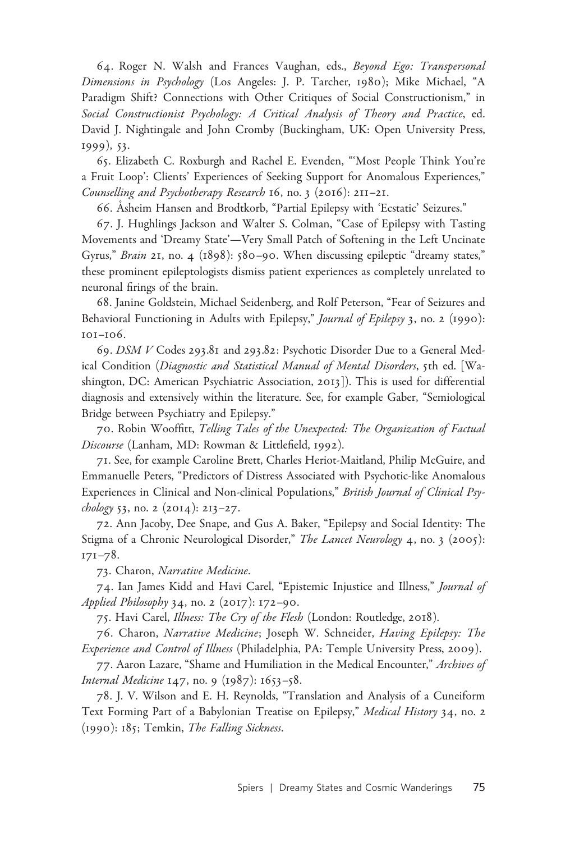64. Roger N. Walsh and Frances Vaughan, eds., Beyond Ego: Transpersonal Dimensions in Psychology (Los Angeles: J. P. Tarcher, 1980); Mike Michael, "A Paradigm Shift? Connections with Other Critiques of Social Constructionism," in Social Constructionist Psychology: A Critical Analysis of Theory and Practice, ed. David J. Nightingale and John Cromby (Buckingham, UK: Open University Press, 1999), 53.

65. Elizabeth C. Roxburgh and Rachel E. Evenden, "'Most People Think You're a Fruit Loop': Clients' Experiences of Seeking Support for Anomalous Experiences," Counselling and Psychotherapy Research 16, no. 3 (2016): 211–21.

66. Asheim Hansen and Brodtkorb, "Partial Epilepsy with 'Ecstatic' Seizures."

67. J. Hughlings Jackson and Walter S. Colman, "Case of Epilepsy with Tasting Movements and 'Dreamy State'—Very Small Patch of Softening in the Left Uncinate Gyrus," Brain 21, no. 4 (1898): 580-90. When discussing epileptic "dreamy states," these prominent epileptologists dismiss patient experiences as completely unrelated to neuronal firings of the brain.

68. Janine Goldstein, Michael Seidenberg, and Rolf Peterson, "Fear of Seizures and Behavioral Functioning in Adults with Epilepsy," Journal of Epilepsy 3, no. 2 (1990): 101–106.

69. DSM V Codes 293.81 and 293.82: Psychotic Disorder Due to a General Medical Condition (Diagnostic and Statistical Manual of Mental Disorders, 5th ed. [Washington, DC: American Psychiatric Association, 2013]). This is used for differential diagnosis and extensively within the literature. See, for example Gaber, "Semiological Bridge between Psychiatry and Epilepsy."

70. Robin Wooffitt, Telling Tales of the Unexpected: The Organization of Factual Discourse (Lanham, MD: Rowman & Littlefield, 1992).

71. See, for example Caroline Brett, Charles Heriot-Maitland, Philip McGuire, and Emmanuelle Peters, "Predictors of Distress Associated with Psychotic-like Anomalous Experiences in Clinical and Non-clinical Populations," British Journal of Clinical Psychology 53, no. 2  $(2014)$ : 213-27.

72. Ann Jacoby, Dee Snape, and Gus A. Baker, "Epilepsy and Social Identity: The Stigma of a Chronic Neurological Disorder," The Lancet Neurology 4, no. 3 (2005): 171–78.

73. Charon, Narrative Medicine.

74. Ian James Kidd and Havi Carel, "Epistemic Injustice and Illness," Journal of Applied Philosophy 34, no. 2 (2017): 172–90.

75. Havi Carel, Illness: The Cry of the Flesh (London: Routledge, 2018).

76. Charon, Narrative Medicine; Joseph W. Schneider, Having Epilepsy: The Experience and Control of Illness (Philadelphia, PA: Temple University Press, 2009).

77. Aaron Lazare, "Shame and Humiliation in the Medical Encounter," Archives of Internal Medicine 147, no. 9 (1987): 1653–58.

78. J. V. Wilson and E. H. Reynolds, "Translation and Analysis of a Cuneiform Text Forming Part of a Babylonian Treatise on Epilepsy," Medical History 34, no. 2 (1990): 185; Temkin, The Falling Sickness.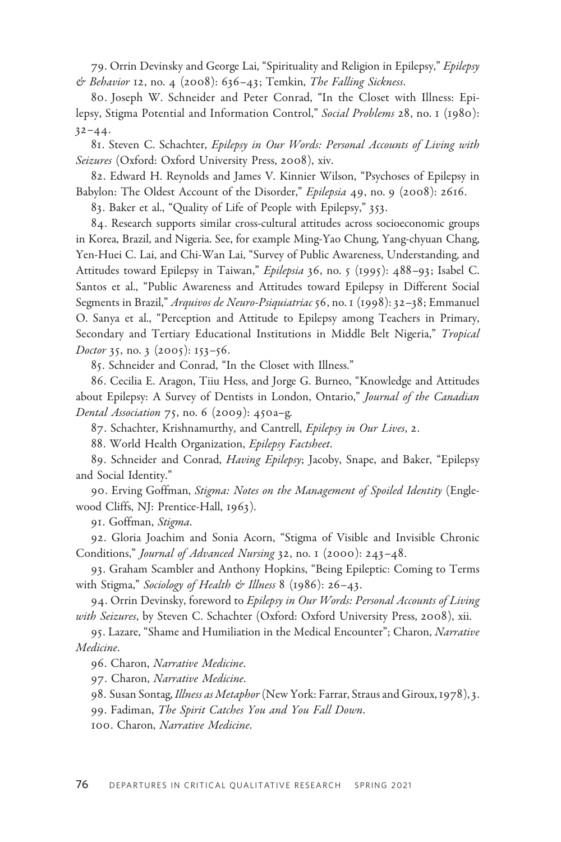79. Orrin Devinsky and George Lai, "Spirituality and Religion in Epilepsy," Epilepsy & Behavior 12, no. 4 (2008):  $636-43$ ; Temkin, The Falling Sickness.

80. Joseph W. Schneider and Peter Conrad, "In the Closet with Illness: Epilepsy, Stigma Potential and Information Control," Social Problems 28, no. 1 (1980):  $32 - 44.$ 

81. Steven C. Schachter, Epilepsy in Our Words: Personal Accounts of Living with Seizures (Oxford: Oxford University Press, 2008), xiv.

82. Edward H. Reynolds and James V. Kinnier Wilson, "Psychoses of Epilepsy in Babylon: The Oldest Account of the Disorder," Epilepsia 49, no. 9 (2008): 2616.

83. Baker et al., "Quality of Life of People with Epilepsy," 353.

84. Research supports similar cross-cultural attitudes across socioeconomic groups in Korea, Brazil, and Nigeria. See, for example Ming-Yao Chung, Yang-chyuan Chang, Yen-Huei C. Lai, and Chi-Wan Lai, "Survey of Public Awareness, Understanding, and Attitudes toward Epilepsy in Taiwan," Epilepsia 36, no. 5 (1995): 488-93; Isabel C. Santos et al., "Public Awareness and Attitudes toward Epilepsy in Different Social Segments in Brazil," Arquivos de Neuro-Psiquiatriac 56, no. 1 (1998): 32-38; Emmanuel O. Sanya et al., "Perception and Attitude to Epilepsy among Teachers in Primary, Secondary and Tertiary Educational Institutions in Middle Belt Nigeria," Tropical Doctor 35, no. 3 (2005): 153-56.

85. Schneider and Conrad, "In the Closet with Illness."

86. Cecilia E. Aragon, Tiiu Hess, and Jorge G. Burneo, "Knowledge and Attitudes about Epilepsy: A Survey of Dentists in London, Ontario," Journal of the Canadian Dental Association 75, no. 6 (2009): 450a–g.

87. Schachter, Krishnamurthy, and Cantrell, Epilepsy in Our Lives, 2.

88. World Health Organization, Epilepsy Factsheet.

89. Schneider and Conrad, Having Epilepsy; Jacoby, Snape, and Baker, "Epilepsy and Social Identity."

90. Erving Goffman, Stigma: Notes on the Management of Spoiled Identity (Englewood Cliffs, NJ: Prentice-Hall, 1963).

91. Goffman, Stigma.

92. Gloria Joachim and Sonia Acorn, "Stigma of Visible and Invisible Chronic Conditions," Journal of Advanced Nursing 32, no. 1 (2000): 243–48.

93. Graham Scambler and Anthony Hopkins, "Being Epileptic: Coming to Terms with Stigma," Sociology of Health & Illness 8 (1986): 26-43.

94. Orrin Devinsky, foreword to Epilepsy in Our Words: Personal Accounts of Living with Seizures, by Steven C. Schachter (Oxford: Oxford University Press, 2008), xii.

95. Lazare, "Shame and Humiliation in the Medical Encounter"; Charon, Narrative Medicine.

96. Charon, Narrative Medicine.

97. Charon, Narrative Medicine.

98. Susan Sontag, Illness as Metaphor (New York: Farrar, Straus and Giroux, 1978), 3.

99. Fadiman, The Spirit Catches You and You Fall Down.

100. Charon, Narrative Medicine.